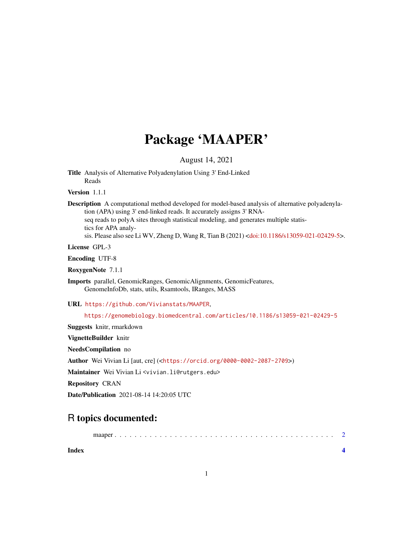## Package 'MAAPER'

August 14, 2021

Title Analysis of Alternative Polyadenylation Using 3' End-Linked Reads

Version 1.1.1

Description A computational method developed for model-based analysis of alternative polyadenylation (APA) using 3' end-linked reads. It accurately assigns 3' RNAseq reads to polyA sites through statistical modeling, and generates multiple statistics for APA analysis. Please also see Li WV, Zheng D, Wang R, Tian B (2021) [<doi:10.1186/s13059-021-02429-5>](https://doi.org/10.1186/s13059-021-02429-5).

License GPL-3

Encoding UTF-8

RoxygenNote 7.1.1

Imports parallel, GenomicRanges, GenomicAlignments, GenomicFeatures, GenomeInfoDb, stats, utils, Rsamtools, IRanges, MASS

URL <https://github.com/Vivianstats/MAAPER>,

<https://genomebiology.biomedcentral.com/articles/10.1186/s13059-021-02429-5>

Suggests knitr, rmarkdown

VignetteBuilder knitr

NeedsCompilation no

Author Wei Vivian Li [aut, cre] (<<https://orcid.org/0000-0002-2087-2709>>)

Maintainer Wei Vivian Li <vivian.li@rutgers.edu>

Repository CRAN

Date/Publication 2021-08-14 14:20:05 UTC

### R topics documented:

maaper . . . . . . . . . . . . . . . . . . . . . . . . . . . . . . . . . . . . . . . . . . . . [2](#page-1-0)

**Index** [4](#page-3-0)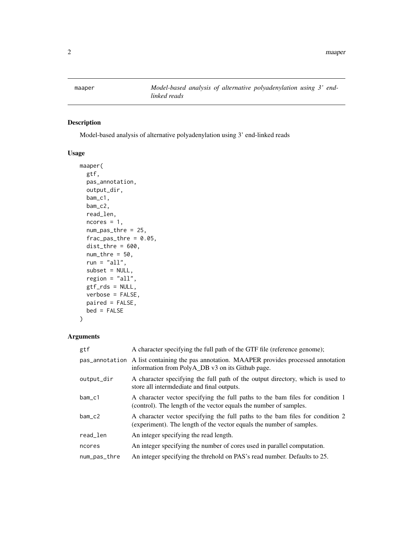<span id="page-1-0"></span>

#### Description

Model-based analysis of alternative polyadenylation using 3' end-linked reads

#### Usage

```
maaper(
  gtf,
 pas_annotation,
 output_dir,
 bam_c1,
 bam_c2,
  read_len,
  ncores = 1,
  num_pas_thre = 25,
  frac\_pas\_thre = 0.05,
  dist_{thre} = 600,num\_thre = 50,
  run = "all",subset = NULL,region = "all",
 gtf_rds = NULL,
 verbose = FALSE,
 paired = FALSE,
 bed = FALSE
)
```
#### Arguments

| gtf          | A character specifying the full path of the GTF file (reference genome);                                                                              |
|--------------|-------------------------------------------------------------------------------------------------------------------------------------------------------|
|              | pas_annotation A list containing the pas annotation. MAAPER provides processed annotation<br>information from PolyA_DB v3 on its Github page.         |
| output_dir   | A character specifying the full path of the output directory, which is used to<br>store all intermodiate and final outputs.                           |
| bam c1       | A character vector specifying the full paths to the bam files for condition 1<br>(control). The length of the vector equals the number of samples.    |
| $bam_c2$     | A character vector specifying the full paths to the bam files for condition 2<br>(experiment). The length of the vector equals the number of samples. |
| read_len     | An integer specifying the read length.                                                                                                                |
| ncores       | An integer specifying the number of cores used in parallel computation.                                                                               |
| num_pas_thre | An integer specifying the threhold on PAS's read number. Defaults to 25.                                                                              |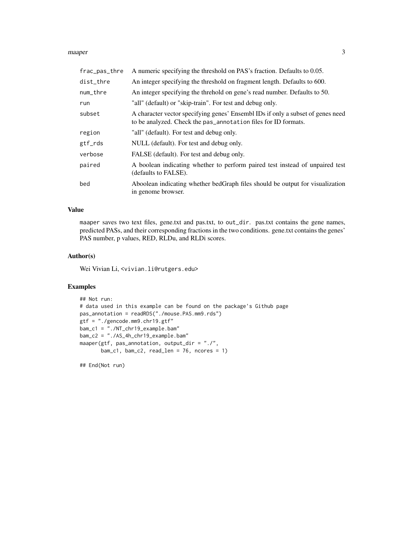#### maaper 3

| frac_pas_thre | A numeric specifying the threshold on PAS's fraction. Defaults to 0.05.                                                                           |
|---------------|---------------------------------------------------------------------------------------------------------------------------------------------------|
| dist_thre     | An integer specifying the threshold on fragment length. Defaults to 600.                                                                          |
| num_thre      | An integer specifying the threhold on gene's read number. Defaults to 50.                                                                         |
| run           | "all" (default) or "skip-train". For test and debug only.                                                                                         |
| subset        | A character vector specifying genes' Ensembl IDs if only a subset of genes need<br>to be analyzed. Check the pas_annotation files for ID formats. |
| region        | "all" (default). For test and debug only.                                                                                                         |
| gtf_rds       | NULL (default). For test and debug only.                                                                                                          |
| verbose       | FALSE (default). For test and debug only.                                                                                                         |
| paired        | A boolean indicating whether to perform paired test instead of unpaired test<br>(defaults to FALSE).                                              |
| bed           | Aboolean indicating whether bedGraph files should be output for visualization<br>in genome browser.                                               |

#### Value

maaper saves two text files, gene.txt and pas.txt, to out\_dir. pas.txt contains the gene names, predicted PASs, and their corresponding fractions in the two conditions. gene.txt contains the genes' PAS number, p values, RED, RLDu, and RLDi scores.

#### Author(s)

Wei Vivian Li, <vivian.li@rutgers.edu>

#### Examples

```
## Not run:
# data used in this example can be found on the package's Github page
pas_annotation = readRDS("./mouse.PAS.mm9.rds")
gtf = "./gencode.mm9.chr19.gtf"
bam_c1 = "./NT_chr19_example.bam"
bam_c2 = "./AS_4h_chr19_example.bam"
maaper(gtf, pas_annotation, output_dir = "./",
      bam_c1, bam_c2, read_len = 76, ncores = 1)
```
## End(Not run)